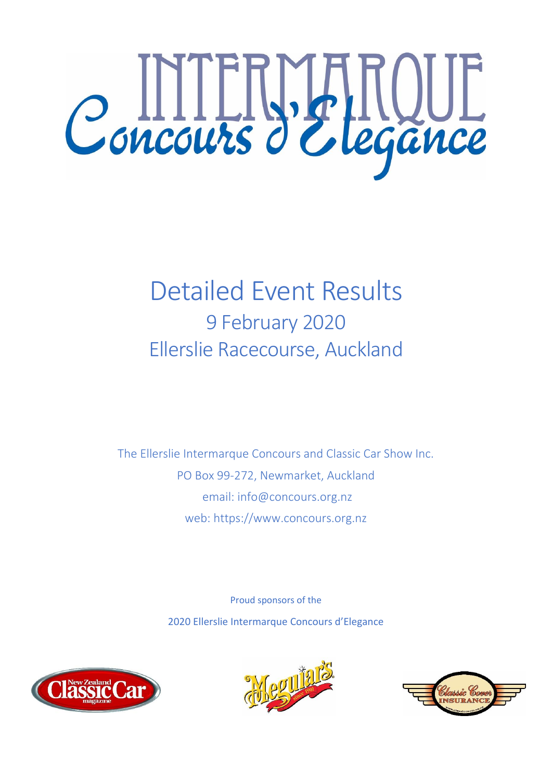

# Detailed Event Results 9 February 2020 Ellerslie Racecourse, Auckland

The Ellerslie Intermarque Concours and Classic Car Show Inc. PO Box 99-272, Newmarket, Auckland email: info@concours.org.nz web: https://www.concours.org.nz

> Proud sponsors of the 2020 Ellerslie Intermarque Concours d'Elegance





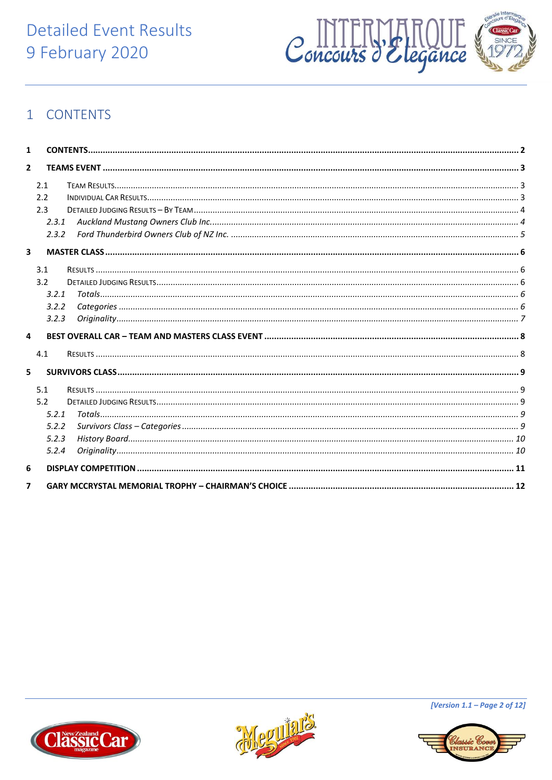## **Detailed Event Results** 9 February 2020



## <span id="page-1-0"></span>1 CONTENTS

| 1                       |                                                |  |
|-------------------------|------------------------------------------------|--|
| $\overline{2}$          |                                                |  |
|                         | 2.1<br>2.2<br>2.3<br>2.3.1<br>2.3.2            |  |
| 3                       |                                                |  |
|                         | 3.1<br>3.2<br>3.2.1<br>3.2.2<br>3.2.3          |  |
| $\overline{\mathbf{4}}$ |                                                |  |
| 5                       | 4.1                                            |  |
|                         | 5.1<br>5.2<br>5.2.1<br>5.2.2<br>5.2.3<br>5.2.4 |  |
| 6                       |                                                |  |
| 7                       |                                                |  |





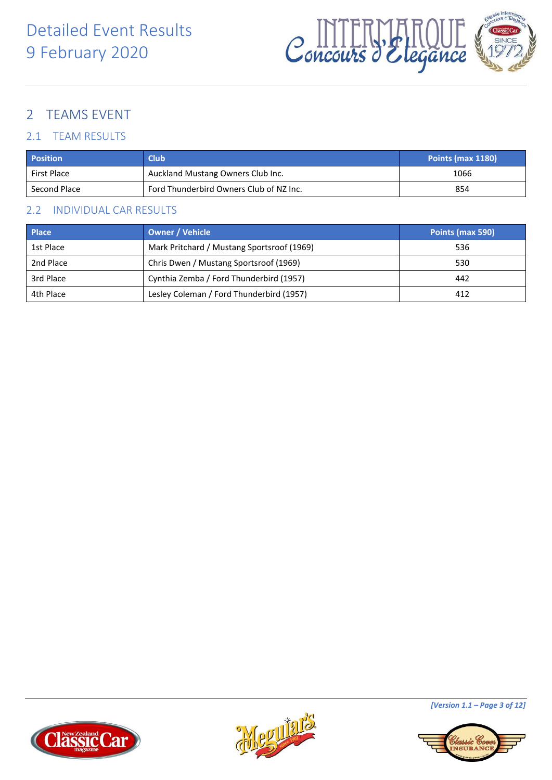

## <span id="page-2-0"></span>2 TEAMS EVENT

### <span id="page-2-1"></span>2.1 TEAM RESULTS

| <b>Position</b> | <b>Club</b>                             | Points (max 1180) |
|-----------------|-----------------------------------------|-------------------|
| First Place     | Auckland Mustang Owners Club Inc.       | 1066              |
| Second Place    | Ford Thunderbird Owners Club of NZ Inc. | 854               |

#### <span id="page-2-2"></span>2.2 INDIVIDUAL CAR RESULTS

| <b>Place</b> | <b>Owner / Vehicle</b>                     | Points (max 590) |
|--------------|--------------------------------------------|------------------|
| 1st Place    | Mark Pritchard / Mustang Sportsroof (1969) | 536              |
| 2nd Place    | Chris Dwen / Mustang Sportsroof (1969)     | 530              |
| 3rd Place    | Cynthia Zemba / Ford Thunderbird (1957)    | 442              |
| 4th Place    | Lesley Coleman / Ford Thunderbird (1957)   | 412              |







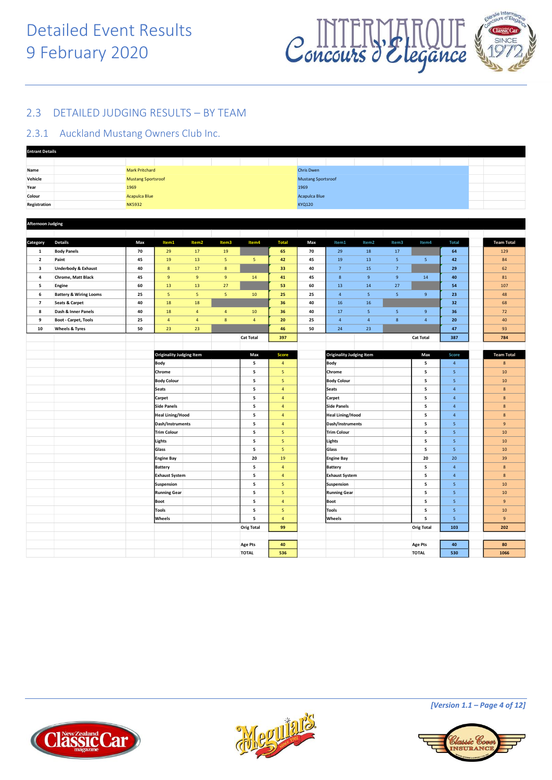

#### <span id="page-3-0"></span>2.3 DETAILED JUDGING RESULTS – BY TEAM

#### <span id="page-3-1"></span>2.3.1 Auckland Mustang Owners Club Inc.

| <b>Entrant Details</b>   |                                   |                           |                                 |                         |                         |                                |                         |                      |                           |                         |                         |                                |                  |  |                   |
|--------------------------|-----------------------------------|---------------------------|---------------------------------|-------------------------|-------------------------|--------------------------------|-------------------------|----------------------|---------------------------|-------------------------|-------------------------|--------------------------------|------------------|--|-------------------|
|                          |                                   |                           |                                 |                         |                         |                                |                         |                      |                           |                         |                         |                                |                  |  |                   |
| Name                     |                                   | <b>Mark Pritchard</b>     |                                 |                         |                         |                                |                         | <b>Chris Dwen</b>    |                           |                         |                         |                                |                  |  |                   |
| Vehicle                  |                                   | <b>Mustang Sportsroof</b> |                                 |                         |                         |                                |                         |                      | <b>Mustang Sportsroof</b> |                         |                         |                                |                  |  |                   |
| Year                     |                                   | 1969                      |                                 |                         |                         |                                |                         | 1969                 |                           |                         |                         |                                |                  |  |                   |
| Colour                   |                                   | <b>Acapulca Blue</b>      |                                 |                         |                         |                                |                         | <b>Acapulca Blue</b> |                           |                         |                         |                                |                  |  |                   |
| Registration             |                                   | <b>NK5932</b>             |                                 |                         |                         |                                |                         | <b>KYQ120</b>        |                           |                         |                         |                                |                  |  |                   |
|                          |                                   |                           |                                 |                         |                         |                                |                         |                      |                           |                         |                         |                                |                  |  |                   |
| <b>Afternoon Judging</b> |                                   |                           |                                 |                         |                         |                                |                         |                      |                           |                         |                         |                                |                  |  |                   |
|                          |                                   |                           |                                 |                         |                         |                                |                         |                      |                           |                         |                         |                                |                  |  |                   |
|                          |                                   |                           |                                 |                         |                         |                                |                         |                      |                           |                         |                         |                                |                  |  |                   |
| Category                 | <b>Details</b>                    | Max                       | Item1                           | Item <sub>2</sub>       | Item3                   | Item4                          | <b>Total</b>            | Max                  | Item1                     | Item2                   | Item3                   | Item4                          | <b>Total</b>     |  | <b>Team Total</b> |
| $\mathbf{1}$             | <b>Body Panels</b>                | 70                        | 29                              | ${\bf 17}$              | 19                      |                                | 65                      | 70                   | 29                        | 18                      | 17                      |                                | 64               |  | 129               |
| $\overline{2}$           | Paint                             | 45                        | 19                              | 13                      | $\overline{\mathbf{5}}$ | $\overline{\mathbf{5}}$        | 42                      | 45                   | 19                        | 13                      | 5 <sub>5</sub>          | 5                              | 42               |  | 84                |
| $\overline{\mathbf{3}}$  | <b>Underbody &amp; Exhaust</b>    | 40                        | $\boldsymbol{8}$                | 17                      | $\boldsymbol{8}$        |                                | 33                      | 40                   | $7\overline{ }$           | 15                      | $\overline{7}$          |                                | 29               |  | 62                |
| $\overline{\mathbf{4}}$  | <b>Chrome, Matt Black</b>         | 45                        | $\overline{9}$                  | $\overline{9}$          | $\,$ 9                  | ${\bf 14}$                     | $\bf{41}$               | 45                   | $\bf 8$                   | $\,$ 9                  | $9\,$                   | 14                             | 40               |  | ${\bf 81}$        |
| 5                        | Engine                            | 60                        | 13                              | 13                      | $27$                    |                                | 53                      | 60                   | 13                        | 14                      | 27                      |                                | 54               |  | 107               |
| 6                        | <b>Battery &amp; Wiring Looms</b> | 25                        | $\sqrt{5}$                      | $\overline{\mathbf{5}}$ | 5 <sub>1</sub>          | 10                             | 25                      | 25                   | $\overline{4}$            | $5\phantom{.0}$         | $\overline{\mathbf{5}}$ | $\,9$                          | 23               |  | 48                |
| $\overline{7}$           | <b>Seats &amp; Carpet</b>         | 40                        | 18                              | 18                      |                         |                                | 36                      | 40                   | 16                        | 16                      |                         |                                | 32 <sub>2</sub>  |  | 68                |
| 8                        | Dash & Inner Panels               | 40                        | 18                              | $\overline{4}$          | $\overline{4}$          | $10\,$                         | 36                      | 40                   | $17\,$                    | $\overline{\mathbf{5}}$ | $\overline{\mathbf{5}}$ | $\mathsf{9}$                   | 36               |  | 72                |
| 9                        | <b>Boot - Carpet, Tools</b>       | 25                        | $\overline{4}$                  | $\overline{4}$          | $\bf{8}$                | $\overline{4}$                 | 20                      | 25                   | $\overline{4}$            | $\overline{4}$          | $\boldsymbol{8}$        | $\overline{4}$                 | 20               |  | 40                |
| 10                       | <b>Wheels &amp; Tyres</b>         | 50                        | 23                              | 23                      |                         |                                | 46                      | 50                   | $24\,$                    | 23                      |                         |                                | 47               |  | 93                |
|                          |                                   |                           |                                 |                         |                         | <b>Cat Total</b>               | 397                     |                      |                           |                         |                         | <b>Cat Total</b>               | 387              |  | 784               |
|                          |                                   |                           |                                 |                         |                         |                                |                         |                      |                           |                         |                         |                                |                  |  |                   |
|                          |                                   |                           | <b>Originality Judging Item</b> |                         |                         | Max                            | <b>Score</b>            |                      | Originality Judging Item  |                         |                         | Max                            | Score            |  | <b>Team Total</b> |
|                          |                                   |                           |                                 |                         |                         |                                |                         |                      |                           |                         |                         |                                |                  |  |                   |
|                          |                                   |                           |                                 |                         |                         |                                |                         |                      |                           |                         |                         |                                |                  |  |                   |
|                          |                                   |                           | <b>Body</b>                     |                         |                         | 5                              | $\sqrt{4}$              |                      | <b>Body</b>               |                         |                         | 5                              | $\overline{4}$   |  | $\bf 8$           |
|                          |                                   |                           | Chrome                          |                         |                         | 5                              | 5                       |                      | Chrome                    |                         |                         | 5                              | 5 <sup>5</sup>   |  | 10                |
|                          |                                   |                           | <b>Body Colour</b>              |                         |                         | 5                              | $\overline{\mathbf{5}}$ |                      | <b>Body Colour</b>        |                         |                         | 5                              | 5 <sub>5</sub>   |  | $10\,$            |
|                          |                                   |                           | <b>Seats</b>                    |                         |                         | 5                              | $\sqrt{4}$              |                      | <b>Seats</b>              |                         |                         | 5                              | $\overline{4}$   |  | $8\phantom{1}$    |
|                          |                                   |                           | Carpet                          |                         |                         | 5                              | $\sqrt{4}$              |                      | Carpet                    |                         |                         | 5                              | $\overline{4}$   |  | $\bf 8$           |
|                          |                                   |                           | <b>Side Panels</b>              |                         |                         | 5                              | $\overline{4}$          |                      | <b>Side Panels</b>        |                         |                         | 5                              | $\overline{4}$   |  | 8                 |
|                          |                                   |                           | <b>Heal Lining/Hood</b>         |                         |                         | 5                              | $\overline{4}$          |                      | <b>Heal Lining/Hood</b>   |                         |                         | 5                              | $\overline{4}$   |  | $\bf 8$           |
|                          |                                   |                           | Dash/Instruments                |                         |                         | 5                              | $\overline{4}$          |                      | Dash/Instruments          |                         |                         | 5                              | 5 <sub>5</sub>   |  | 9                 |
|                          |                                   |                           | <b>Trim Colour</b>              |                         |                         | 5                              | $\overline{\mathbf{5}}$ |                      | <b>Trim Colour</b>        |                         |                         | 5                              | 5 <sup>1</sup>   |  | 10                |
|                          |                                   |                           | Lights                          |                         |                         | 5                              | $\sf S$                 |                      | Lights                    |                         |                         | 5                              | 5                |  | $10$              |
|                          |                                   |                           | Glass                           |                         |                         | 5                              | $\overline{\mathbf{5}}$ |                      | Glass                     |                         |                         | 5                              | 5 <sup>1</sup>   |  | 10                |
|                          |                                   |                           | <b>Engine Bay</b>               |                         |                         | 20                             | 19                      |                      | <b>Engine Bay</b>         |                         |                         | 20                             | 20               |  | 39                |
|                          |                                   |                           | Battery                         |                         |                         | 5                              | $\overline{4}$          |                      | <b>Battery</b>            |                         |                         | 5                              | $\overline{4}$   |  | $\boldsymbol{8}$  |
|                          |                                   |                           | <b>Exhaust System</b>           |                         |                         | 5                              | $\sqrt{4}$              |                      | <b>Exhaust System</b>     |                         |                         | 5                              | $\overline{4}$   |  | $\bf 8$           |
|                          |                                   |                           | Suspension                      |                         |                         | $\overline{\mathbf{5}}$        | 5                       |                      | Suspension                |                         |                         | 5                              | 5 <sup>5</sup>   |  | 10                |
|                          |                                   |                           | <b>Running Gear</b>             |                         |                         | 5                              | ${\sf s}$               |                      | <b>Running Gear</b>       |                         |                         | 5                              | 5 <sub>5</sub>   |  | $10$              |
|                          |                                   |                           | <b>Boot</b>                     |                         |                         | 5                              | $\overline{4}$          |                      | <b>Boot</b>               |                         |                         | 5                              | 5                |  | 9                 |
|                          |                                   |                           | <b>Tools</b>                    |                         |                         | 5                              | $\overline{\mathbf{5}}$ |                      | <b>Tools</b>              |                         |                         | 5                              | 5 <sup>1</sup>   |  | 10                |
|                          |                                   |                           |                                 |                         |                         | 5                              | $\overline{4}$          |                      |                           |                         |                         | 5                              |                  |  | $9\,$             |
|                          |                                   |                           | Wheels                          |                         |                         |                                | 99                      |                      | Wheels                    |                         |                         | <b>Orig Total</b>              | $\bullet$<br>103 |  | 202               |
|                          |                                   |                           |                                 |                         |                         | <b>Orig Total</b>              |                         |                      |                           |                         |                         |                                |                  |  |                   |
|                          |                                   |                           |                                 |                         |                         |                                |                         |                      |                           |                         |                         |                                |                  |  |                   |
|                          |                                   |                           |                                 |                         |                         | <b>Age Pts</b><br><b>TOTAL</b> | 40<br>536               |                      |                           |                         |                         | <b>Age Pts</b><br><b>TOTAL</b> | 40<br>530        |  | 80<br>1066        |





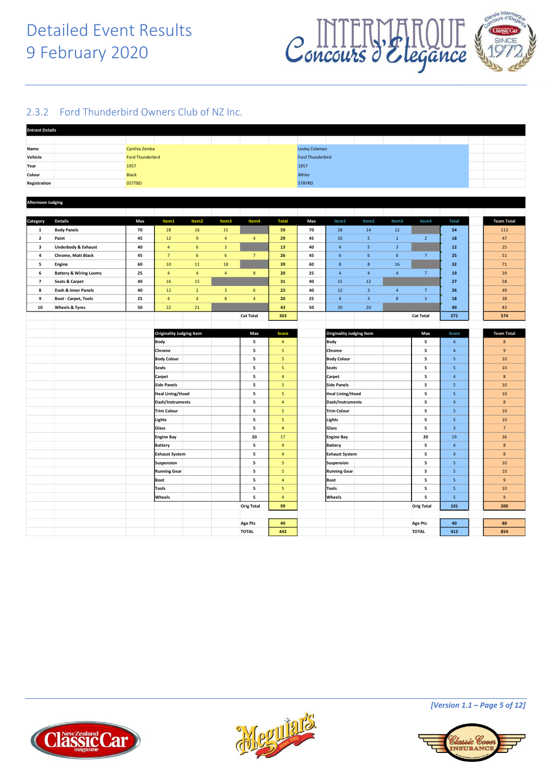

#### <span id="page-4-0"></span>2.3.2 Ford Thunderbird Owners Club of NZ Inc.

| <b>Entrant Details</b>       |                                                                |                         |                                         |                   |                         |                                                 |                                |                       |                                  |                         |                         |                   |                         |  |                              |  |
|------------------------------|----------------------------------------------------------------|-------------------------|-----------------------------------------|-------------------|-------------------------|-------------------------------------------------|--------------------------------|-----------------------|----------------------------------|-------------------------|-------------------------|-------------------|-------------------------|--|------------------------------|--|
|                              |                                                                |                         |                                         |                   |                         | the contract of the contract of the contract of |                                |                       |                                  |                         |                         |                   |                         |  |                              |  |
| Name                         |                                                                | Cynthia Zemba           |                                         |                   |                         |                                                 |                                | <b>Lesley Coleman</b> |                                  |                         |                         |                   |                         |  |                              |  |
| Vehicle                      |                                                                | <b>Ford Thunderbird</b> |                                         |                   |                         |                                                 |                                |                       | <b>Ford Thunderbird</b>          |                         |                         |                   |                         |  |                              |  |
| Year                         |                                                                | 1957                    |                                         |                   |                         |                                                 |                                | 1957                  |                                  |                         |                         |                   |                         |  |                              |  |
| Colour                       |                                                                | <b>Black</b>            |                                         |                   |                         |                                                 |                                | White                 |                                  |                         |                         |                   |                         |  |                              |  |
| Registration                 |                                                                | <b>057TBD</b>           |                                         |                   |                         |                                                 |                                | 57BYRD                |                                  |                         |                         |                   |                         |  |                              |  |
|                              |                                                                |                         |                                         |                   |                         |                                                 |                                |                       |                                  |                         |                         |                   |                         |  |                              |  |
| <b>Afternoon Judging</b>     |                                                                |                         |                                         |                   |                         |                                                 |                                |                       |                                  |                         |                         |                   |                         |  |                              |  |
|                              |                                                                |                         |                                         |                   |                         |                                                 |                                |                       |                                  |                         |                         |                   |                         |  |                              |  |
| Category                     | <b>Details</b>                                                 | Max                     | Item1                                   | Item <sub>2</sub> | Item3                   | Item4                                           | <b>Total</b>                   | Max                   | Item1                            | Item <sub>2</sub>       | Item3                   | Item4             | <b>Total</b>            |  | <b>Team Total</b>            |  |
| 1                            | <b>Body Panels</b>                                             | 70                      | 28                                      | 16                | 15                      |                                                 | 59                             | 70                    | 28                               | 14                      | 12                      |                   | 54                      |  | 113                          |  |
| $\overline{2}$               | Paint                                                          | 45                      | 12                                      | $\overline{9}$    | $\overline{4}$          | $\overline{4}$                                  | 29                             | 45                    | 10                               | 5 <sub>5</sub>          | $\mathbf{1}$            | $\overline{2}$    | 18                      |  | 47                           |  |
| $\overline{\mathbf{3}}$      | <b>Underbody &amp; Exhaust</b>                                 | 40                      | $\overline{4}$                          | $\,$ 6 $\,$       | $\overline{\mathbf{3}}$ |                                                 | 13                             | 40                    | $\sqrt{4}$                       | $\overline{\mathbf{5}}$ | $\overline{\mathbf{3}}$ |                   | ${\bf 12}$              |  | 25                           |  |
| 4                            | Chrome, Matt Black                                             | 45                      | $\overline{7}$                          | $6\phantom{1}6$   | 6                       | $\overline{7}$                                  | 26                             | 45                    | $\,$ 6 $\,$                      | $\,$ 6 $\,$             | $\,$ 6 $\,$             | $\overline{7}$    | 25                      |  | 51                           |  |
| 5                            |                                                                | 60                      | 10                                      | 11                | 18                      |                                                 | 39                             | 60                    | 8                                | 8                       | 16                      |                   | 32                      |  | 71                           |  |
|                              | Engine                                                         | 25                      | $\overline{4}$                          | $\sqrt{4}$        | $\sqrt{4}$              | $\bf 8$                                         | 20                             | 25                    | $\overline{4}$                   | $\overline{4}$          | $\overline{4}$          | $\overline{7}$    | 19                      |  | 39                           |  |
| 6<br>$\overline{\mathbf{z}}$ | <b>Battery &amp; Wiring Looms</b><br><b>Seats &amp; Carpet</b> | 40                      | 16                                      | 15                |                         |                                                 | 31                             | 40                    | 15                               | 12                      |                         |                   | 27                      |  | 58                           |  |
|                              | Dash & Inner Panels                                            | 40                      | $12\,$                                  | $\overline{2}$    | $\overline{\mathbf{3}}$ |                                                 | 23                             | 40                    | 12                               | $\overline{\mathbf{3}}$ | $\overline{4}$          | $7\phantom{.0}$   |                         |  | 49                           |  |
| 8<br>9                       |                                                                | 25                      | $\overline{4}$                          | $\overline{4}$    | 8                       | 6<br>$\overline{4}$                             | 20                             | 25                    | $\overline{4}$                   | $\overline{\mathbf{3}}$ | 8                       | $\overline{3}$    | 26<br>18                |  | 38                           |  |
|                              | <b>Boot - Carpet, Tools</b>                                    |                         |                                         |                   |                         |                                                 |                                |                       |                                  |                         |                         |                   | 40                      |  |                              |  |
| 10                           | <b>Wheels &amp; Tyres</b>                                      | 50                      | $22\,$                                  | 21                |                         |                                                 | 43                             | 50                    | 20                               | 20                      |                         |                   |                         |  | 83                           |  |
|                              |                                                                |                         |                                         |                   |                         | <b>Cat Total</b>                                | 303                            |                       |                                  |                         |                         | <b>Cat Total</b>  | 271                     |  | 574                          |  |
|                              |                                                                |                         |                                         |                   |                         | Max                                             |                                |                       |                                  |                         |                         |                   |                         |  |                              |  |
|                              |                                                                |                         | <b>Originality Judging Item</b><br>Body |                   |                         | 5                                               | <b>Score</b><br>$\overline{4}$ |                       | Originality Judging Item<br>Body |                         |                         | Max<br>5          | Score<br>$\overline{4}$ |  | <b>Team Total</b><br>$\bf 8$ |  |
|                              |                                                                |                         | Chrome                                  |                   |                         | 5                                               | $\sqrt{5}$                     |                       | Chrome                           |                         |                         | 5                 | $\overline{4}$          |  | 9                            |  |
|                              |                                                                |                         | <b>Body Colour</b>                      |                   |                         | 5                                               | 5                              |                       | <b>Body Colour</b>               |                         |                         | 5                 | 5                       |  | 10                           |  |
|                              |                                                                |                         | <b>Seats</b>                            |                   |                         | 5                                               | 5                              |                       | <b>Seats</b>                     |                         |                         | 5                 | 5 <sub>5</sub>          |  | 10                           |  |
|                              |                                                                |                         | Carpet                                  |                   |                         | 5                                               | $\overline{4}$                 |                       | Carpet                           |                         |                         | 5                 | $\overline{4}$          |  | $\bf 8$                      |  |
|                              |                                                                |                         | <b>Side Panels</b>                      |                   |                         | 5                                               | 5                              |                       | <b>Side Panels</b>               |                         |                         | 5                 | 5                       |  | 10                           |  |
|                              |                                                                |                         | <b>Heal Lining/Hood</b>                 |                   |                         | 5                                               | $\overline{5}$                 |                       | <b>Heal Lining/Hood</b>          |                         |                         | 5                 | 5                       |  | 10                           |  |
|                              |                                                                |                         | Dash/Instruments                        |                   |                         | 5                                               | $\overline{4}$                 |                       | Dash/Instruments                 |                         |                         | 5                 | $\overline{4}$          |  | $\boldsymbol{8}$             |  |
|                              |                                                                |                         | <b>Trim Colour</b>                      |                   |                         | 5                                               | $\sqrt{5}$                     |                       | <b>Trim Colour</b>               |                         |                         | 5                 | 5 <sub>5</sub>          |  | $10\,$                       |  |
|                              |                                                                |                         | Lights                                  |                   |                         | 5                                               | 5                              |                       | Lights                           |                         |                         | 5                 | 5 <sub>1</sub>          |  | 10                           |  |
|                              |                                                                |                         | Glass                                   |                   |                         | 5                                               | $\overline{4}$                 |                       | Glass                            |                         |                         | 5                 | $\overline{\mathbf{3}}$ |  | $\overline{7}$               |  |
|                              |                                                                |                         | <b>Engine Bay</b>                       |                   |                         | 20                                              | 17                             |                       | <b>Engine Bay</b>                |                         |                         | 20                | 19                      |  | 36                           |  |
|                              |                                                                |                         | <b>Battery</b>                          |                   |                         | 5                                               | $\overline{4}$                 |                       | <b>Battery</b>                   |                         |                         | 5                 | $\overline{4}$          |  | $\bf{8}$                     |  |
|                              |                                                                |                         | <b>Exhaust System</b>                   |                   |                         | 5                                               | $\overline{4}$                 |                       | <b>Exhaust System</b>            |                         |                         | 5                 | $\overline{4}$          |  | 8                            |  |
|                              |                                                                |                         | Suspension                              |                   |                         | ${\bf 5}$                                       | $\overline{\mathbf{5}}$        |                       | Suspension                       |                         |                         | 5                 | 5 <sub>5</sub>          |  | $10\,$                       |  |
|                              |                                                                |                         | <b>Running Gear</b>                     |                   |                         | 5                                               | $5\overline{5}$                |                       | <b>Running Gear</b>              |                         |                         | 5                 | 5 <sup>5</sup>          |  | 10                           |  |
|                              |                                                                |                         | <b>Boot</b>                             |                   |                         | 5                                               | $\overline{4}$                 |                       | <b>Boot</b>                      |                         |                         | 5                 | 5 <sup>1</sup>          |  | 9                            |  |
|                              |                                                                |                         | <b>Tools</b>                            |                   |                         | 5                                               | $5\overline{5}$                |                       | <b>Tools</b>                     |                         |                         | 5                 | 5 <sub>5</sub>          |  | 10                           |  |
|                              |                                                                |                         | Wheels                                  |                   |                         | 5                                               | $\overline{4}$                 |                       | Wheels                           |                         |                         | 5                 | 5 <sub>5</sub>          |  | $9\,$                        |  |
|                              |                                                                |                         |                                         |                   |                         | <b>Orig Total</b>                               | 99                             |                       |                                  |                         |                         | <b>Orig Total</b> | 101                     |  | 200                          |  |
|                              |                                                                |                         |                                         |                   |                         |                                                 |                                |                       |                                  |                         |                         |                   |                         |  |                              |  |
|                              |                                                                |                         |                                         |                   |                         | <b>Age Pts</b>                                  | 40                             |                       |                                  |                         |                         | <b>Age Pts</b>    | 40                      |  | 80                           |  |
|                              |                                                                |                         |                                         |                   |                         | <b>TOTAL</b>                                    | 442                            |                       |                                  |                         |                         | <b>TOTAL</b>      | 412                     |  | 854                          |  |
|                              |                                                                |                         |                                         |                   |                         |                                                 |                                |                       |                                  |                         |                         |                   |                         |  |                              |  |







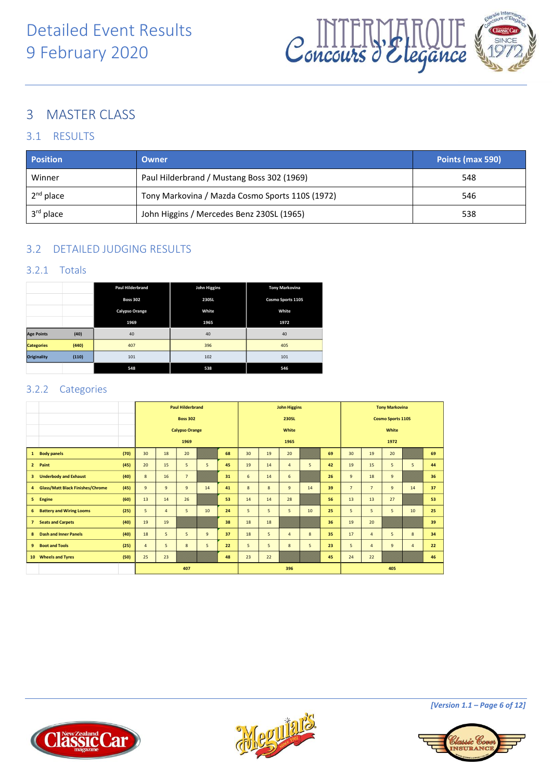

## <span id="page-5-0"></span>3 MASTER CLASS

#### <span id="page-5-1"></span>3.1 RESULTS

| <b>Position</b>       | Owner                                           | Points (max 590) |
|-----------------------|-------------------------------------------------|------------------|
| Winner                | Paul Hilderbrand / Mustang Boss 302 (1969)      | 548              |
| $2nd$ place           | Tony Markovina / Mazda Cosmo Sports 110S (1972) | 546              |
| 3 <sup>rd</sup> place | John Higgins / Mercedes Benz 230SL (1965)       | 538              |

### <span id="page-5-2"></span>3.2 DETAILED JUDGING RESULTS

#### <span id="page-5-3"></span>3.2.1 Totals

|                    |       | <b>Paul Hilderbrand</b> | John Higgins | <b>Tony Markovina</b> |
|--------------------|-------|-------------------------|--------------|-----------------------|
|                    |       | <b>Boss 302</b>         | 230SL        | Cosmo Sports 110S     |
|                    |       | Calypso Orange          | White        | White                 |
|                    |       | 1969                    | 1965         | 1972                  |
| <b>Age Points</b>  | (40)  | 40                      | 40           | 40                    |
| <b>Categories</b>  | (440) | 407                     | 396          | 405                   |
| <b>Originality</b> | (110) | 101                     | 102          | 101                   |
|                    |       | 548                     | 538          | 546                   |

#### <span id="page-5-4"></span>3.2.2 Categories

|                 |                                         |      |                | <b>Paul Hilderbrand</b> |                 |                |    |       | <b>John Higgins</b> |                |    |                          |                | <b>Tony Markovina</b> |                |                |    |  |
|-----------------|-----------------------------------------|------|----------------|-------------------------|-----------------|----------------|----|-------|---------------------|----------------|----|--------------------------|----------------|-----------------------|----------------|----------------|----|--|
|                 |                                         |      |                |                         | <b>Boss 302</b> |                |    | 230SL |                     |                |    | <b>Cosmo Sports 110S</b> |                |                       |                |                |    |  |
|                 |                                         |      |                | <b>Calypso Orange</b>   |                 |                |    |       |                     | White          |    |                          | White          |                       |                |                |    |  |
|                 |                                         |      |                |                         | 1969            |                |    |       |                     | 1965           |    |                          |                |                       | 1972           |                |    |  |
| $\mathbf{1}$    | <b>Body panels</b>                      | (70) | 30             | 18                      | 20              |                | 68 | 30    | 19                  | 20             |    | 69                       | 30             | 19                    | 20             |                | 69 |  |
| $\overline{2}$  | Paint                                   | (45) | 20             | 15                      | 5               | 5              | 45 | 19    | 14                  | $\overline{4}$ | 5  | 42                       | 19             | 15                    | 5              | 5              | 44 |  |
| 3               | <b>Underbody and Exhaust</b>            | (40) | 8              | 16                      | $\overline{7}$  |                | 31 | 6     | 14                  | 6              |    | 26                       | $\overline{9}$ | 18                    | $\overline{9}$ |                | 36 |  |
| $\overline{a}$  | <b>Glass/Matt Black Finishes/Chrome</b> | (45) | $\overline{9}$ | 9                       | $\overline{9}$  | 14             | 41 | 8     | 8                   | 9              | 14 | 39                       | $\overline{7}$ | $\overline{7}$        | $\overline{9}$ | 14             | 37 |  |
| 5               | Engine                                  | (60) | 13             | 14                      | 26              |                | 53 | 14    | 14                  | 28             |    | 56                       | 13             | 13                    | 27             |                | 53 |  |
| 6               | <b>Battery and Wiring Looms</b>         | (25) | 5              | $\overline{4}$          | 5               | 10             | 24 | 5     | 5                   | 5              | 10 | 25                       | 5              | 5                     | 5              | 10             | 25 |  |
| $\overline{7}$  | <b>Seats and Carpets</b>                | (40) | 19             | 19                      |                 |                | 38 | 18    | 18                  |                |    | 36                       | 19             | 20                    |                |                | 39 |  |
| 8               | <b>Dash and Inner Panels</b>            | (40) | 18             | 5                       | 5               | $\overline{9}$ | 37 | 18    | 5                   | $\overline{4}$ | 8  | 35                       | 17             | $\overline{4}$        | 5              | 8              | 34 |  |
| 9               | <b>Boot and Tools</b>                   | (25) | $\overline{4}$ | 5                       | 8               | 5              | 22 | 5     | 5                   | 8              | 5  | 23                       | 5              | $\overline{4}$        | $\overline{9}$ | $\overline{4}$ | 22 |  |
| 10 <sub>1</sub> | <b>Wheels and Tyres</b>                 | (50) | 25             | 23                      |                 |                | 48 | 23    | 22                  |                |    | 45                       | 24             | 22                    |                |                | 46 |  |
|                 |                                         |      |                |                         | 407             |                |    |       |                     | 396            |    |                          |                |                       | 405            |                |    |  |





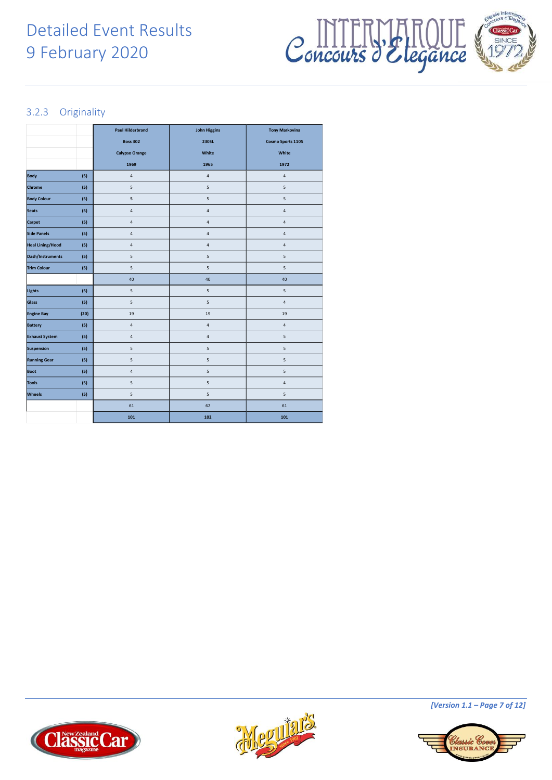## Detailed Event Results 9 February 2020



#### <span id="page-6-0"></span>3.2.3 Originality

|                         |      | <b>Paul Hilderbrand</b> | <b>John Higgins</b> | <b>Tony Markovina</b> |
|-------------------------|------|-------------------------|---------------------|-----------------------|
|                         |      | <b>Boss 302</b>         | <b>230SL</b>        | Cosmo Sports 110S     |
|                         |      | <b>Calypso Orange</b>   | White               | White                 |
|                         |      | 1969                    | 1965                | 1972                  |
| <b>Body</b>             | (5)  | $\sqrt{4}$              | 4                   | $\sqrt{4}$            |
| Chrome                  | (5)  | 5                       | 5                   | 5                     |
| <b>Body Colour</b>      | (5)  | 5                       | 5                   | 5                     |
| Seats                   | (5)  | 4                       | 4                   | $\sqrt{4}$            |
| Carpet                  | (5)  | 4                       | 4                   | $\sqrt{4}$            |
| <b>Side Panels</b>      | (5)  | 4                       | 4                   | $\sqrt{4}$            |
| <b>Heal Lining/Hood</b> | (5)  | 4                       | 4                   | $\sqrt{4}$            |
| Dash/Instruments        | (5)  | 5                       | 5                   | 5                     |
| <b>Trim Colour</b>      | (5)  | 5                       | 5                   | 5                     |
|                         |      | 40                      | 40                  | 40                    |
| Lights                  | (5)  | 5                       | 5                   | 5                     |
| Glass                   | (5)  | 5                       | 5                   | $\sqrt{4}$            |
| <b>Engine Bay</b>       | (20) | 19                      | 19                  | 19                    |
| <b>Battery</b>          | (5)  | 4                       | 4                   | $\sqrt{4}$            |
| <b>Exhaust System</b>   | (5)  | 4                       | 4                   | 5                     |
| Suspension              | (5)  | 5                       | 5                   | 5                     |
| <b>Running Gear</b>     | (5)  | 5                       | 5                   | 5                     |
| <b>Boot</b>             | (5)  | 4                       | 5                   | 5                     |
| <b>Tools</b>            | (5)  | 5                       | 5                   | $\sqrt{4}$            |
| Wheels                  | (5)  | 5                       | 5                   | 5                     |
|                         |      | 61                      | 62                  | 61                    |
|                         |      | 101                     | 102                 | 101                   |







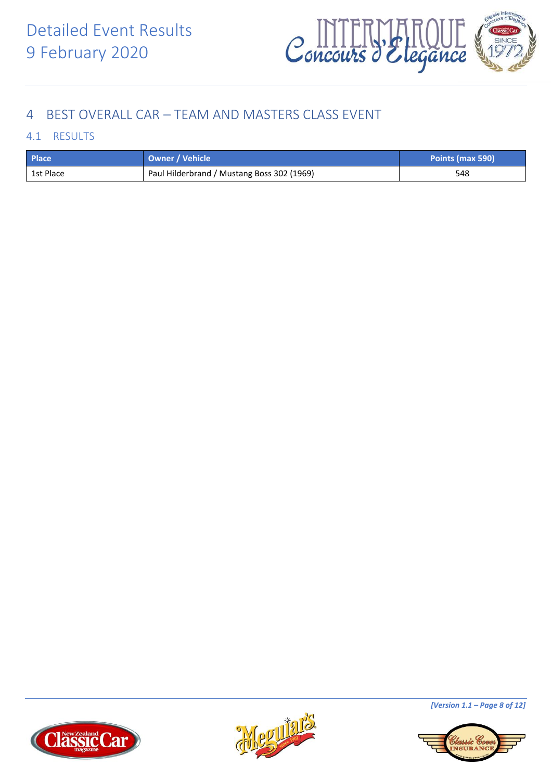

## <span id="page-7-0"></span>4 BEST OVERALL CAR – TEAM AND MASTERS CLASS EVENT

#### <span id="page-7-1"></span>4.1 RESULTS

| <b>Place</b> | Owner / Vehicle                            | Points (max 590) |
|--------------|--------------------------------------------|------------------|
| 1st Place    | Paul Hilderbrand / Mustang Boss 302 (1969) | 548              |







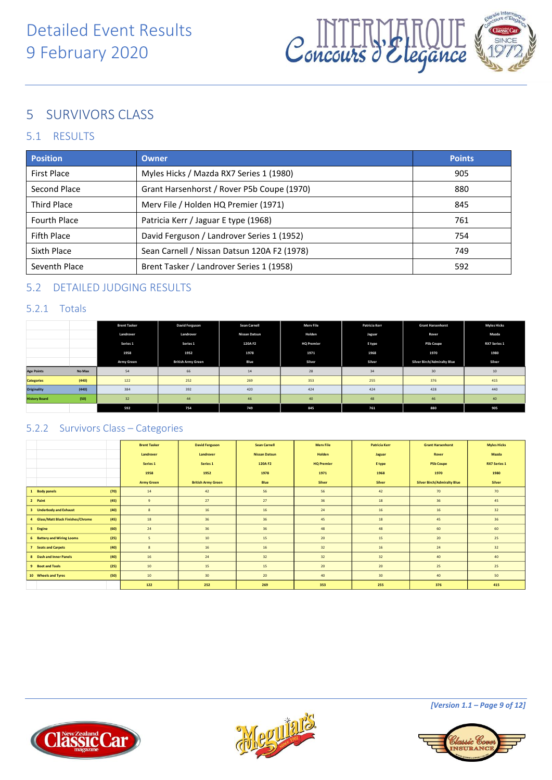

## <span id="page-8-0"></span>5 SURVIVORS CLASS

#### <span id="page-8-1"></span>5.1 RESULTS

| <b>Position</b>     | Owner                                       | <b>Points</b> |  |  |  |  |  |
|---------------------|---------------------------------------------|---------------|--|--|--|--|--|
| <b>First Place</b>  | Myles Hicks / Mazda RX7 Series 1 (1980)     |               |  |  |  |  |  |
| Second Place        | Grant Harsenhorst / Rover P5b Coupe (1970)  | 880           |  |  |  |  |  |
| <b>Third Place</b>  | Merv File / Holden HQ Premier (1971)        | 845           |  |  |  |  |  |
| <b>Fourth Place</b> | Patricia Kerr / Jaguar E type (1968)        | 761           |  |  |  |  |  |
| Fifth Place         | David Ferguson / Landrover Series 1 (1952)  | 754           |  |  |  |  |  |
| Sixth Place         | Sean Carnell / Nissan Datsun 120A F2 (1978) | 749           |  |  |  |  |  |
| Seventh Place       | Brent Tasker / Landrover Series 1 (1958)    | 592           |  |  |  |  |  |

#### <span id="page-8-2"></span>5.2 DETAILED JUDGING RESULTS

#### <span id="page-8-3"></span>5.2.1 Totals

|                      |        | <b>Brent Tasker</b> | <b>David Ferguson</b>     | <b>Sean Carnell</b> | Merv File         | Patricia Kerr | <b>Grant Harsenhorst</b>           | <b>Myles Hicks</b>  |
|----------------------|--------|---------------------|---------------------------|---------------------|-------------------|---------------|------------------------------------|---------------------|
|                      |        | Landrover           | Landrover                 | Nissan Datsun       | Holden            | Jaguar        | Rover                              | Mazda               |
|                      |        | Series 1            | Series 1                  | 120A F2             | <b>HQ Premier</b> | E type        | P5b Coupe                          | <b>RX7 Series 1</b> |
|                      |        | 1958                | 1952                      | 1978                | 1971              | 1968          | 1970                               | 1980                |
|                      |        | <b>Army Green</b>   | <b>British Army Green</b> | Blue                | Silver            | Silver        | <b>Silver Birch/Admiralty Blue</b> | Silver              |
| <b>Age Points</b>    | No Max | 54                  | 66                        | 14                  | 28                | 34            | 30                                 | $10$                |
| <b>Categories</b>    | (440)  | 122                 | 252                       | 269                 | 353               | 255           | 376                                | 415                 |
| Originality          | (440)  | 384                 | 392                       | 420                 | 424               | 424           | 428                                | 440                 |
| <b>History Board</b> | (50)   | 32                  | 44                        | 46                  | 40                | 48            | 46                                 | 40                  |
|                      |        | 592                 | 754                       | 749                 | 845               | 761           | 880                                | 905                 |

#### <span id="page-8-4"></span>5.2.2 Survivors Class – Categories

|                                            | <b>Brent Tasker</b> | <b>David Ferguson</b>     | <b>Sean Carnell</b>  | <b>Mery File</b>  | <b>Patricia Kerr</b> | <b>Grant Harsenhorst</b>           | <b>Myles Hicks</b>  |
|--------------------------------------------|---------------------|---------------------------|----------------------|-------------------|----------------------|------------------------------------|---------------------|
|                                            | Landrover           | Landrover                 | <b>Nissan Datsun</b> | Holden            | Jaguar               | Rover                              | Mazda               |
|                                            | Series 1            | Series 1                  | 120A F2              | <b>HQ Premier</b> | E type               | <b>P5b Coupe</b>                   | <b>RX7 Series 1</b> |
|                                            | 1958                | 1952                      | 1978                 | 1971              | 1968                 | 1970                               | 1980                |
|                                            | <b>Army Green</b>   | <b>British Army Green</b> | Blue                 | Silver            | Silver               | <b>Silver Birch/Admiralty Blue</b> | Silver              |
| (70)<br>1 Body panels                      | 14                  | 42                        | 56                   | 56                | 42                   | 70                                 | 70                  |
| (45)<br>2 Paint                            | 9                   | 27                        | 27                   | 36                | 18                   | 36                                 | 45                  |
| 3 Underbody and Exhaust<br>(40)            | 8                   | 16                        | 16                   | 24                | 16                   | 16                                 | 32                  |
| (45)<br>4 Glass/Matt Black Finishes/Chrome | 18                  | 36                        | 36                   | 45                | 18                   | 45                                 | 36                  |
| (60)<br>5 Engine                           | 24                  | 36                        | 36                   | 48                | 48                   | 60                                 | 60                  |
| (25)<br>6 Battery and Wiring Looms         | 5                   | 10 <sup>°</sup>           | 15                   | 20                | 15                   | 20                                 | 25                  |
| (40)<br>7 Seats and Carpets                | $\boldsymbol{8}$    | 16                        | 16                   | 32                | 16                   | 24                                 | 32                  |
| (40)<br>8 Dash and Inner Panels            | 16                  | 24                        | 32                   | 32                | 32                   | 40                                 | 40                  |
| (25)<br>9 Boot and Tools                   | 10                  | 15                        | 15                   | 20                | 20                   | 25                                 | 25                  |
| 10 Wheels and Tyres<br>(50)                | 10                  | 30 <sub>2</sub>           | 20                   | 40                | 30                   | 40                                 | 50                  |
|                                            | 122                 | 252                       | 269                  | 353               | 255                  | 376                                | 415                 |





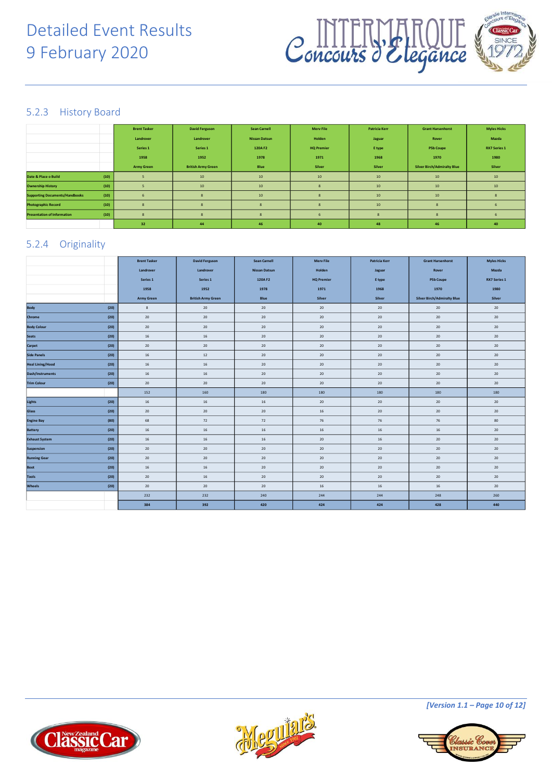



#### <span id="page-9-0"></span>5.2.3 History Board

|                                       |      | <b>Brent Tasker</b> | <b>David Ferguson</b>     | <b>Sean Carnell</b>  | <b>Mery File</b>  | <b>Patricia Kerr</b> | <b>Grant Harsenhorst</b>           | <b>Myles Hicks</b>  |
|---------------------------------------|------|---------------------|---------------------------|----------------------|-------------------|----------------------|------------------------------------|---------------------|
|                                       |      | Landrover           | Landrover                 | <b>Nissan Datsun</b> | Holden            | Jaguar               | Rover                              | Mazda               |
|                                       |      | Series 1            | Series 1                  | 120A F2              | <b>HQ Premier</b> | E type               | <b>P5b Coupe</b>                   | <b>RX7 Series 1</b> |
|                                       |      | 1958                | 1952                      | 1978                 | 1971              | 1968                 | 1970                               | 1980                |
|                                       |      | <b>Army Green</b>   | <b>British Army Green</b> | Blue                 | Silver            | Silver               | <b>Silver Birch/Admiralty Blue</b> | Silver              |
| Date & Place o Build                  | (10) |                     | 10                        | $10$                 | 10                | 10                   | $10\,$                             | 10                  |
| <b>Ownership History</b>              | (10) |                     | 10                        | 10                   |                   | 10                   | $10\,$                             | $10$                |
| <b>Supporting Documents/Handbooks</b> | (10) |                     | 8                         | $10$                 |                   | 10                   | $10\,$                             |                     |
| <b>Photographic Record</b>            | (10) | $\mathbf{R}$        | $\mathbf{R}$              | $\mathbf{R}$         |                   | 10                   | $\mathbf{R}$                       | -6                  |
| <b>Presentation of Information</b>    | (10) | $\mathbf{R}$        |                           |                      |                   | $\mathbf{R}$         |                                    |                     |
|                                       |      | 32                  | 44                        | 46                   | 40                | 48                   | 46                                 | 40                  |

#### <span id="page-9-1"></span>5.2.4 Originality

|                         |      | <b>Brent Tasker</b> | <b>David Ferguson</b>     | <b>Sean Carnell</b>  | <b>Merv File</b>  | <b>Patricia Kerr</b> | <b>Grant Harsenhorst</b>           | <b>Myles Hicks</b>  |
|-------------------------|------|---------------------|---------------------------|----------------------|-------------------|----------------------|------------------------------------|---------------------|
|                         |      | Landrover           | Landrover                 | <b>Nissan Datsun</b> | Holden            | Jaguar               | Rover                              | Mazda               |
|                         |      | Series 1            | Series 1                  | 120A F2              | <b>HQ Premier</b> | E type               | <b>P5b Coupe</b>                   | <b>RX7 Series 1</b> |
|                         |      | 1958                | 1952                      | 1978                 | 1971              | 1968                 | 1970                               | 1980                |
|                         |      | <b>Army Green</b>   | <b>British Army Green</b> | Blue                 | Silver            | Silver               | <b>Silver Birch/Admiralty Blue</b> | Silver              |
| Body                    | (20) | $\,$ 8              | 20                        | 20                   | 20                | 20                   | 20                                 | 20                  |
| Chrome                  | (20) | 20                  | 20                        | 20                   | 20                | 20                   | 20                                 | 20                  |
| <b>Body Colour</b>      | (20) | 20                  | 20                        | 20                   | 20                | 20                   | 20                                 | 20                  |
| Seats                   | (20) | 16                  | 16                        | 20                   | 20                | 20                   | 20                                 | 20                  |
| Carpet                  | (20) | 20                  | 20                        | 20                   | 20                | 20                   | 20                                 | 20                  |
| Side Panels             | (20) | 16                  | 12                        | 20                   | 20                | 20                   | 20                                 | 20                  |
| <b>Heal Lining/Hood</b> | (20) | $16\,$              | 16                        | 20                   | $20\,$            | $20\,$               | 20                                 | 20                  |
| Dash/Instruments        | (20) | 16                  | 16                        | 20                   | 20                | 20                   | 20                                 | 20                  |
| <b>Trim Colour</b>      | (20) | 20                  | 20                        | 20                   | 20                | $20\,$               | 20                                 | 20                  |
|                         |      | 152                 | 160                       | 180                  | 180               | 180                  | 180                                | 180                 |
| Lights                  | (20) | 16                  | 16                        | 16                   | 20                | $20\,$               | 20                                 | 20                  |
| Glass                   | (20) | 20                  | 20                        | 20                   | 16                | 20                   | 20                                 | 20                  |
| <b>Engine Bay</b>       | (80) | 68                  | 72                        | 72                   | 76                | 76                   | 76                                 | 80                  |
| <b>Battery</b>          | (20) | 16                  | 16                        | 16                   | $16\,$            | 16                   | 16                                 | 20                  |
| <b>Exhaust System</b>   | (20) | 16                  | 16                        | 16                   | 20                | 16                   | 20                                 | 20                  |
| Suspension              | (20) | 20                  | 20                        | 20                   | 20                | 20                   | 20                                 | 20                  |
| <b>Running Gear</b>     | (20) | 20                  | 20                        | 20                   | 20                | 20                   | 20                                 | 20                  |
| Boot                    | (20) | 16                  | 16                        | 20                   | 20                | 20                   | 20                                 | 20                  |
| Tools                   | (20) | 20                  | 16                        | 20                   | 20                | 20                   | 20                                 | 20                  |
| Wheels                  | (20) | 20                  | 20                        | 20                   | 16                | 16                   | 16                                 | 20                  |
|                         |      | 232                 | 232                       | 240                  | 244               | 244                  | 248                                | 260                 |
|                         |      | 384                 | 392                       | 420                  | 424               | 424                  | 428                                | 440                 |





*[Version 1.1 – Page 10 of 12]*

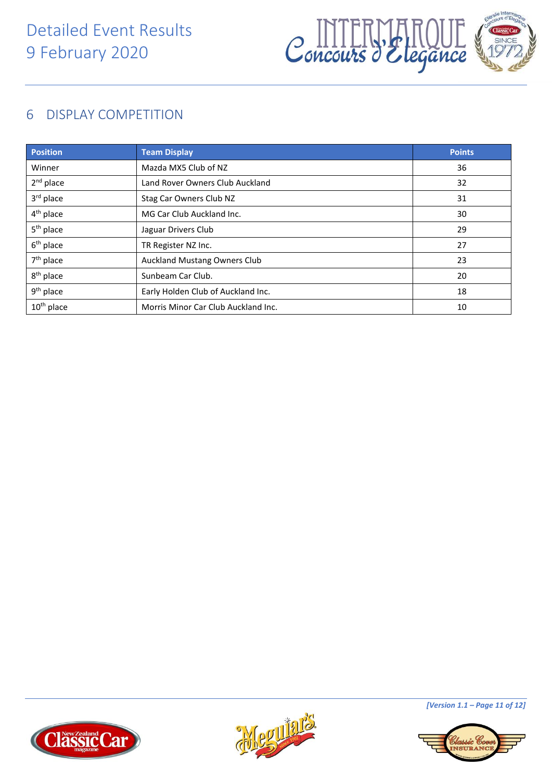

## <span id="page-10-0"></span>6 DISPLAY COMPETITION

| <b>Position</b>       | <b>Team Display</b>                 | <b>Points</b> |
|-----------------------|-------------------------------------|---------------|
| Winner                | Mazda MX5 Club of NZ                | 36            |
| $2nd$ place           | Land Rover Owners Club Auckland     | 32            |
| 3rd place             | Stag Car Owners Club NZ             | 31            |
| $4th$ place           | MG Car Club Auckland Inc.           | 30            |
| 5 <sup>th</sup> place | Jaguar Drivers Club                 | 29            |
| $6th$ place           | TR Register NZ Inc.                 | 27            |
| $7th$ place           | <b>Auckland Mustang Owners Club</b> | 23            |
| 8 <sup>th</sup> place | Sunbeam Car Club.                   | 20            |
| 9 <sup>th</sup> place | Early Holden Club of Auckland Inc.  | 18            |
| $10^{th}$ place       | Morris Minor Car Club Auckland Inc. | 10            |